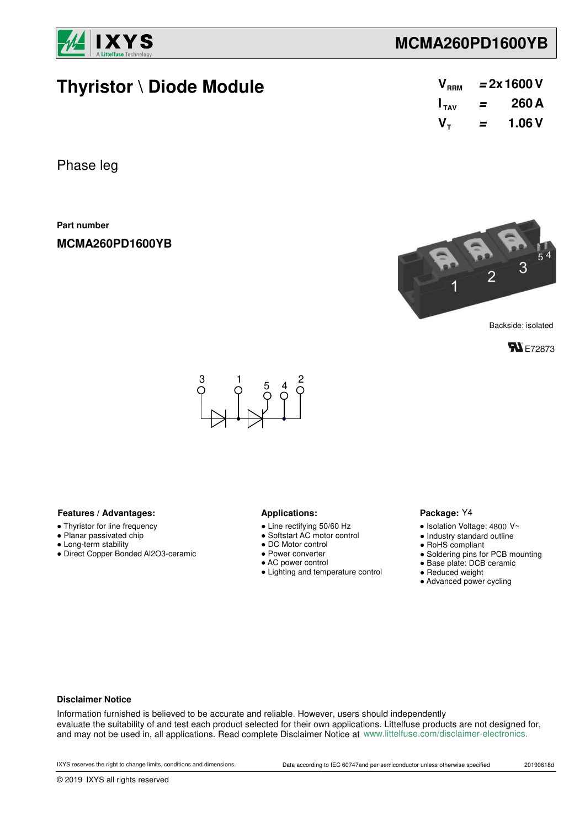

# **Thyristor \ Diode Module**

| V <sub>RRM</sub> | $= 2x 1600 V$ |       |  |  |
|------------------|---------------|-------|--|--|
| $I_{TAV}$        | =             | 260 A |  |  |
| $V_{\tau}$       | =             | 1.06V |  |  |

Phase leg

**Part number**

**MCMA260PD1600YB**



Backside: isolated





### Features / Advantages: **All Applications: Applications:**

- Thyristor for line frequency
- Planar passivated chip
- Long-term stability
- Direct Copper Bonded Al2O3-ceramic

- Line rectifying 50/60 Hz
- Softstart AC motor control
- DC Motor control
- Power converter
- AC power control
- Lighting and temperature control

### Package: Y4

- $\bullet$  Isolation Voltage: 4800 V~
- Industry standard outline
- RoHS compliant
- Soldering pins for PCB mounting
- Base plate: DCB ceramic
- Reduced weight
- Advanced power cycling

#### **Disclaimer Notice**

Information furnished is believed to be accurate and reliable. However, users should independently evaluate the suitability of and test each product selected for their own applications. Littelfuse products are not designed for, and may not be used in, all applications. Read complete Disclaimer Notice at www.littelfuse.com/disclaimer-electronics.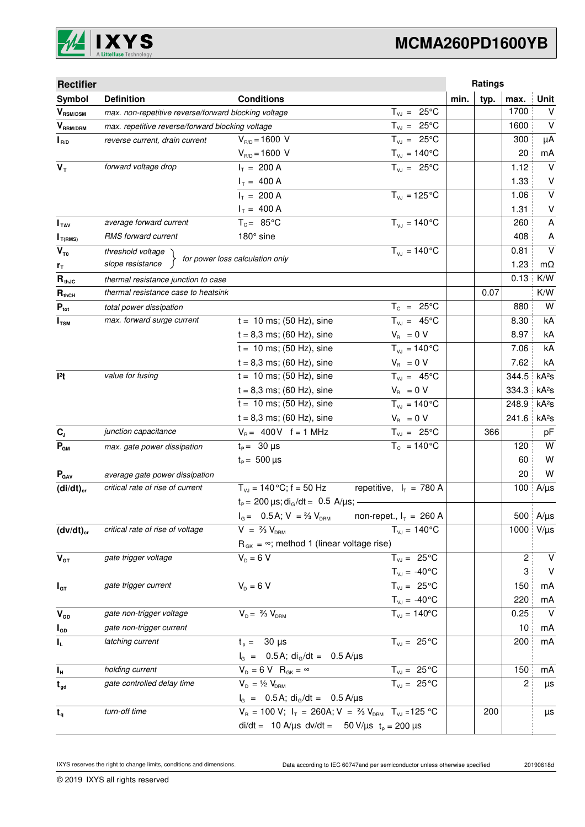

| <b>Rectifier</b>                        |                                                      |                                                                             |                                |              | Ratings        |                   |
|-----------------------------------------|------------------------------------------------------|-----------------------------------------------------------------------------|--------------------------------|--------------|----------------|-------------------|
| Symbol                                  | <b>Definition</b>                                    | <b>Conditions</b>                                                           |                                | typ.<br>min. | max.           | Unit              |
| $\bm{V}_{\text{RSM/DSM}}$               | max. non-repetitive reverse/forward blocking voltage |                                                                             | $T_{VJ} = 25^{\circ}C$         |              | 1700           | V                 |
| $V_{\scriptscriptstyle \text{RRM/DRM}}$ | max. repetitive reverse/forward blocking voltage     |                                                                             | $T_{VJ} = 25^{\circ}C$         |              | 1600           | $\vee$            |
| $I_{R/D}$                               | reverse current, drain current                       | $V_{R/D} = 1600 V$                                                          | $T_{VJ} = 25^{\circ}C$         |              | 300            | μA                |
|                                         |                                                      | $V_{R/D} = 1600 V$                                                          | $T_{\nu J} = 140^{\circ}C$     |              | 20             | mA                |
| $V_T$                                   | forward voltage drop                                 | $I_T = 200 A$                                                               | $T_{VJ} = 25^{\circ}C$         |              | 1.12           | V                 |
|                                         |                                                      | $I_T = 400 A$                                                               |                                |              | 1.33           | V                 |
|                                         |                                                      | $I_T = 200 A$                                                               | $T_{VJ} = 125\text{°C}$        |              | 1.06           | $\vee$            |
|                                         |                                                      | $I_T = 400 A$                                                               |                                |              | 1.31           | V                 |
| I <sub>TAV</sub>                        | average forward current                              | $T_c = 85^{\circ}$ C                                                        | $T_{V1} = 140^{\circ}C$        |              | 260            | A                 |
| $I_{T(RMS)}$                            | RMS forward current                                  | 180° sine                                                                   |                                |              | 408            | A                 |
| $V_{\tau_0}$                            | threshold voltage                                    |                                                                             | $T_{V,1} = 140^{\circ}C$       |              | 0.81           | $\vee$            |
| r <sub>T</sub>                          | slope resistance                                     | for power loss calculation only                                             |                                |              | 1.23           | $m\Omega$         |
| $R_{thJC}$                              | thermal resistance junction to case                  |                                                                             |                                |              | 0.13           | K/W               |
| $R_{thCH}$                              | thermal resistance case to heatsink                  |                                                                             |                                |              | 0.07           | K/W               |
| $P_{\text{tot}}$                        | total power dissipation                              |                                                                             | $T_c = 25^{\circ}C$            |              | 880            | W                 |
| $I_{TSM}$                               | max. forward surge current                           | $t = 10$ ms; (50 Hz), sine                                                  | $T_{V,1} = 45^{\circ}C$        |              | 8.30           | kA                |
|                                         |                                                      | $t = 8,3$ ms; (60 Hz), sine                                                 | $V_{\rm R} = 0 V$              |              | 8.97           | kA                |
|                                         |                                                      | $t = 10$ ms; (50 Hz), sine                                                  | $T_{VJ} = 140^{\circ}C$        |              | 7.06           | kA                |
|                                         |                                                      | $t = 8,3$ ms; (60 Hz), sine                                                 | $V_{\rm R} = 0 V$              |              | 7.62           | kA                |
| 12t                                     | value for fusing                                     | $t = 10$ ms; (50 Hz), sine                                                  | $T_{VJ} = 45^{\circ}C$         |              | 344.5          | kA <sup>2</sup> s |
|                                         |                                                      | $t = 8,3$ ms; (60 Hz), sine                                                 | $V_{\rm R} = 0 V$              |              | 334.3          | kA <sup>2</sup> S |
|                                         |                                                      | $t = 10$ ms; (50 Hz), sine                                                  | $T_{VJ} = 140^{\circ}C$        |              | 248.9          | kA <sup>2</sup> S |
|                                         |                                                      | $t = 8,3$ ms; (60 Hz), sine                                                 | $V_R = 0 V$                    |              | 241.6          | kA <sup>2</sup> S |
| $C_{J}$                                 | junction capacitance                                 | $V_B = 400V$ f = 1 MHz                                                      | $T_{VJ} = 25^{\circ}C$         |              | 366            | pF                |
| $P_{GM}$                                | max. gate power dissipation                          | $t_P = 30 \mu s$                                                            | $T_c = 140^{\circ}$ C          |              | 120            | W                 |
|                                         |                                                      | $t_{\rm p} = 500 \,\mu s$                                                   |                                |              | 60             | W                 |
| $P_{\text{GAV}}$                        | average gate power dissipation                       |                                                                             |                                |              | 20             | W                 |
| $(di/dt)_{cr}$                          | critical rate of rise of current                     | $T_{V,I} = 140\degree C$ ; f = 50 Hz                                        | repetitive, $I_T = 780$ A      |              | 100            | $A/\mu s$         |
|                                         |                                                      | $t_P$ = 200 $\mu$ s; di <sub>G</sub> /dt = 0.5 A/ $\mu$ s; -                |                                |              |                |                   |
|                                         |                                                      | $I_G = 0.5$ A; V = $\frac{2}{3}V_{DRM}$ non-repet., $I_T = 260$ A           |                                |              |                | 500 A/µs          |
| $(dv/dt)_{cr}$                          | critical rate of rise of voltage                     | $V = \frac{2}{3} V_{DBM}$                                                   | $T_{VJ} = 140^{\circ}C$        |              |                | 1000 V/µs         |
|                                         |                                                      | $R_{gK} = \infty$ ; method 1 (linear voltage rise)                          |                                |              |                |                   |
| $V_{GT}$                                | gate trigger voltage                                 | $V_p = 6 V$                                                                 | $T_{VJ} = 25^{\circ}C$         |              | $\overline{c}$ | $\vee$            |
|                                         |                                                      |                                                                             | $T_{\text{VJ}} = -40^{\circ}C$ |              | 3              | $\vee$            |
| $I_{GT}$                                | gate trigger current                                 | $V_{D} = 6 V$                                                               | $T_{VJ} = 25^{\circ}C$         |              | 150            | mA                |
|                                         |                                                      |                                                                             | $T_{VJ} = -40$ °C              |              | 220            | mA                |
| $V_{GD}$                                | gate non-trigger voltage                             | $V_{D} = \frac{2}{3} V_{DBM}$                                               | $T_{VJ} = 140^{\circ}C$        |              | 0.25           | $\mathsf{V}$      |
| $I_{GD}$                                | gate non-trigger current                             |                                                                             |                                |              | 10             | mA                |
| $\mathbf{l}_\mathsf{L}$                 | latching current                                     | $t_{p} = 30 \mu s$                                                          | $T_{VJ} = 25^{\circ}C$         |              | 200            | mA                |
|                                         |                                                      | $I_G = 0.5 A$ ; di <sub>G</sub> /dt = 0.5 A/µs                              |                                |              |                |                   |
| $I_{\rm H}$                             | holding current                                      | $\overline{V_{D}}$ = 6 V R <sub>GK</sub> = $\infty$                         | $T_{VJ} = 25\overline{°C}$     |              | 150            | mA                |
| $t_{gd}$                                | gate controlled delay time                           | $V_{D} = \frac{1}{2} V_{DRM}$                                               | $\overline{T_{vJ}}$ = 25 °C    |              | $\overline{c}$ | μs                |
|                                         |                                                      | $I_G = 0.5A$ ; di <sub>G</sub> /dt = 0.5 A/µs                               |                                |              |                |                   |
| $t_{q}$                                 | turn-off time                                        | $V_R = 100 V; I_T = 260A; V = \frac{2}{3} V_{DRM}$ T <sub>VJ</sub> = 125 °C |                                |              | 200            | μs                |
|                                         |                                                      | di/dt = 10 A/µs dv/dt = 50 V/µs $t_p = 200 \mu s$                           |                                |              |                |                   |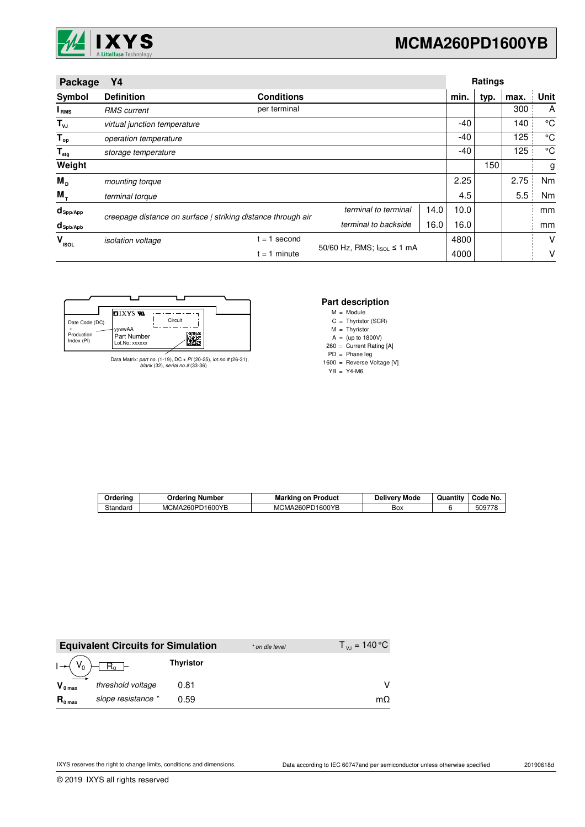

| Package                         | Y4                           |                                                              |                            |      |       | <b>Ratings</b> |      |      |
|---------------------------------|------------------------------|--------------------------------------------------------------|----------------------------|------|-------|----------------|------|------|
| Symbol                          | <b>Definition</b>            | <b>Conditions</b>                                            |                            |      | min.  | typ.           | max. | Unit |
| I <sub>RMS</sub>                | <b>RMS</b> current           | per terminal                                                 |                            |      |       |                | 300  | A    |
| $T_{\nu J}$                     | virtual junction temperature |                                                              |                            |      | $-40$ |                | 140  | °C   |
| $T_{op}$                        | operation temperature        |                                                              |                            |      | $-40$ |                | 125  | °C   |
| $\mathsf{T}_{\sf{stg}}$         | storage temperature          |                                                              |                            |      | -40   |                | 125  | °C   |
| Weight                          |                              |                                                              |                            |      |       | 150            |      | g    |
| $M_{\rm p}$                     | mounting torque              |                                                              |                            |      | 2.25  |                | 2.75 | Nm   |
| $M_{\tau}$                      | terminal torque              |                                                              |                            |      | 4.5   |                | 5.5  | Nm   |
| $d_{\mathsf{Spp/App}}$          |                              | creepage distance on surface   striking distance through air | terminal to terminal       | 14.0 | 10.0  |                |      | mm   |
| $d_{\texttt{Spb/Apb}}$          |                              |                                                              | terminal to backside       | 16.0 | 16.0  |                |      | mm   |
| $\mathbf{V}_{_{\textrm{ISOL}}}$ | <i>isolation</i> voltage     | $= 1$ second                                                 |                            |      | 4800  |                |      | V    |
|                                 |                              | $t = 1$ minute                                               | 50/60 Hz, RMS; IsoL ≤ 1 mA |      | 4000  |                |      | ν    |

|                          |                |         | Par |
|--------------------------|----------------|---------|-----|
|                          | $IIXYS$ W      |         | M   |
| Date Code (DC)           |                | Circuit | C   |
|                          | yywwAA         |         | M   |
| Production<br>Index (PI) | Part Number    | سيور    | A   |
|                          | Lot.No: xxxxxx |         | 260 |

Data Matrix: part no. (1-19), DC + PI (20-25), lot.no.# (26-31), blank (32), serial no.# (33-36)

### **Part description**

M = Module

Thyristor (SCR) =

M Thyristor =

A 260 (up to 1800V) = = Current Rating [A]

PD Phase leg =

1600 = Reverse Voltage [V]

YB Y4-M6 =

| Orderina | Ordering Number | <b>Marking on Product</b> | <b>Delivery Mode</b> | Quantity | Code No. |
|----------|-----------------|---------------------------|----------------------|----------|----------|
| Standard | MCMA260PD1600YB | MCMA260PD1600YB           | Box                  |          | 509778   |

|                     | <b>Equivalent Circuits for Simulation</b> |                  | * on die level | $T_{\rm vir} = 140 \,^{\circ}\text{C}$ |
|---------------------|-------------------------------------------|------------------|----------------|----------------------------------------|
|                     |                                           | <b>Thyristor</b> |                |                                        |
| $V_{0 max}$         | threshold voltage                         | 0.81             |                |                                        |
| $R_{0 \text{ max}}$ | slope resistance *                        | 0.59             |                | mO                                     |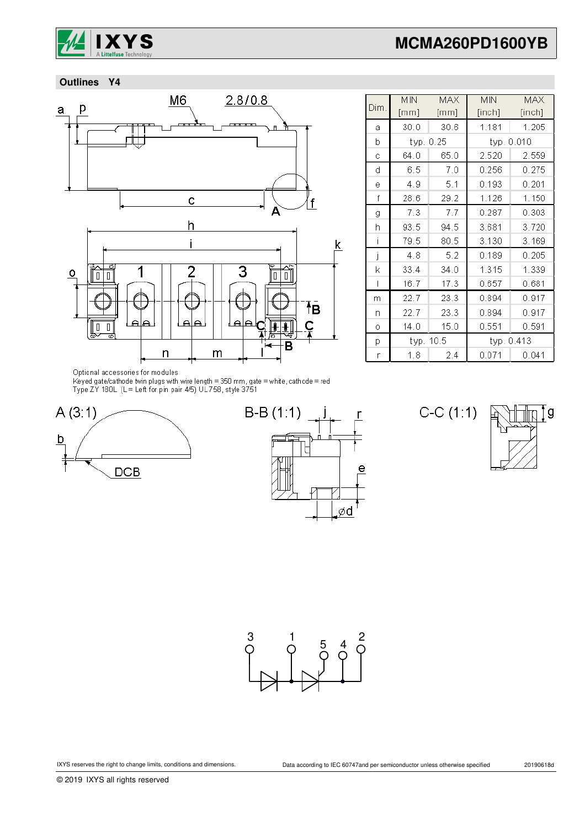

 **Outlines Y4**



|      | MN        | <b>MAX</b> | <b>MIN</b> | <b>MAX</b> |
|------|-----------|------------|------------|------------|
| Dim. | [mm]      | [mm]       | [inch]     | [inch]     |
| а    | 30.0      | 30.6       | 1.181      | 1.205      |
| b    | typ. 0.25 |            | typ. 0.010 |            |
| Ć    | 64.0      | 65.0       | 2.520      | 2.559      |
| d    | 6.5       | 7.0        | 0.256      | 0.275      |
| ė    | 4.9       | 5.1        | 0.193      | 0.201      |
| f    | 28.6      | 29.2       | 1.126      | 1.150      |
| g    | 7.3       | 7.7        | 0.287      | 0.303      |
| h    | 93.5      | 94.5       | 3.681      | 3.720      |
| Ť    | 79.5      | 80.5       | 3.130      | 3.169      |
| j    | 4.8       | 5.2        | 0.189      | 0.205      |
| k    | 33.4      | 34.0       | 1.315      | 1.339      |
| I    | 16.7      | 17.3       | 0.657      | 0.681      |
| m    | 22.7      | 23.3       | 0.894      | 0.917      |
| n    | 22.7      | 23.3       | 0.894      | 0.917      |
| Ō    | 14.0      | 15.0       | 0.551      | 0.591      |
| p    | typ. 10.5 |            | typ. 0.413 |            |
| r    | 1.8       | 2.4        | 0.071      | 0.041      |

Optional accessories for modules

Keyed gate/cathode twin plugs with wire length = 350 mm, gate = white, cathode = red<br>Type ZY 180L (L = Left for pin pair 4/5) UL758, style 3751





 $C-C(1:1)$